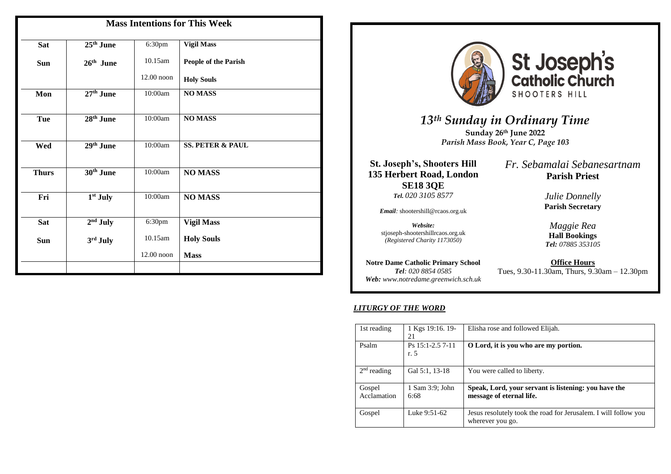| <b>Mass Intentions for This Week</b> |                       |              |                             |  |
|--------------------------------------|-----------------------|--------------|-----------------------------|--|
| <b>Sat</b>                           | $25th$ June           | 6:30pm       | <b>Vigil Mass</b>           |  |
| <b>Sun</b>                           | $26th$ June           | 10.15am      | People of the Parish        |  |
|                                      |                       | $12.00$ noon | <b>Holy Souls</b>           |  |
| Mon                                  | $27th$ June           | 10:00am      | <b>NOMASS</b>               |  |
| <b>Tue</b>                           | 28 <sup>th</sup> June | 10:00am      | <b>NO MASS</b>              |  |
| Wed                                  | 29th June             | 10:00am      | <b>SS. PETER &amp; PAUL</b> |  |
| <b>Thurs</b>                         | 30 <sup>th</sup> June | 10:00am      | <b>NO MASS</b>              |  |
| Fri                                  | 1 <sup>st</sup> July  | 10:00am      | <b>NO MASS</b>              |  |
| <b>Sat</b>                           | $2nd$ July            | 6:30pm       | <b>Vigil Mass</b>           |  |
| Sun                                  | 3rd July              | 10.15am      | <b>Holy Souls</b>           |  |
|                                      |                       | 12.00 noon   | <b>Mass</b>                 |  |
|                                      |                       |              |                             |  |



St Joseph's<br>catholic Church SHOOTERS HILL

*13th Sunday in Ordinary Time* **Sunday 26th June 2022**  *Parish Mass Book, Year C, Page 103*

**St. Joseph's, Shooters Hill 135 Herbert Road, London SE18 3QE** *Tel. 020 3105 8577*

*Email:* shootershill@rcaos.org.uk

*Website:*  stjoseph-shootershillrcaos.org.uk *(Registered Charity 1173050)*

**Notre Dame Catholic Primary School** *Tel: 020 8854 0585 Web: www.notredame.greenwich.sch.uk* *Fr. Sebamalai Sebanesartnam* **Parish Priest**

> *Julie Donnelly* **Parish Secretary**

*Maggie Rea* **Hall Bookings**  *Tel: 07885 353105*

**Office Hours** Tues, 9.30-11.30am, Thurs, 9.30am – 12.30pm

#### *LITURGY OF THE WORD*

| 1st reading           | 1 Kgs 19:16. 19-<br>21   | Elisha rose and followed Elijah.                                                    |  |
|-----------------------|--------------------------|-------------------------------------------------------------------------------------|--|
| Psalm                 | Ps 15:1-2.5 7-11<br>r. 5 | O Lord, it is you who are my portion.                                               |  |
| $2nd$ reading         | Gal 5:1, 13-18           | You were called to liberty.                                                         |  |
| Gospel<br>Acclamation | 1 Sam 3:9; John<br>6:68  | Speak, Lord, your servant is listening: you have the<br>message of eternal life.    |  |
| Gospel                | Luke 9:51-62             | Jesus resolutely took the road for Jerusalem. I will follow you<br>wherever you go. |  |